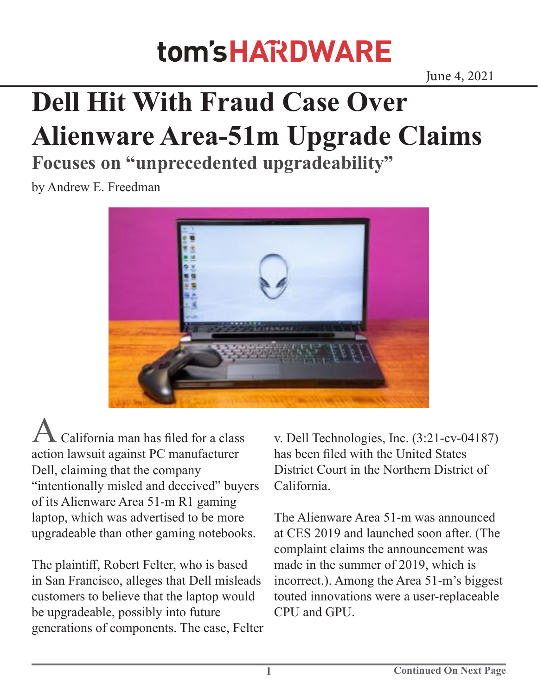## tom's HARDWARE

## **Dell Hit With Fraud Case Over Alienware Area-51m Upgrade Claims**

**Focuses on "unprecedented upgradeability"**

by Andrew E. Freedman



California man has filed for a class action lawsuit against PC manufacturer Dell, claiming that the company "intentionally misled and deceived" buyers of its Alienware Area 51-m R1 gaming laptop, which was advertised to be more upgradeable than other gaming notebooks.

The plaintiff, Robert Felter, who is based in San Francisco, alleges that Dell misleads customers to believe that the laptop would be upgradeable, possibly into future generations of components. The case, Felter v. Dell Technologies, Inc. (3:21-cv-04187) has been filed with the United States District Court in the Northern District of California.

The Alienware Area 51-m was announced at CES 2019 and launched soon after. (The complaint claims the announcement was made in the summer of 2019, which is incorrect.). Among the Area 51-m's biggest touted innovations were a user-replaceable CPU and GPU.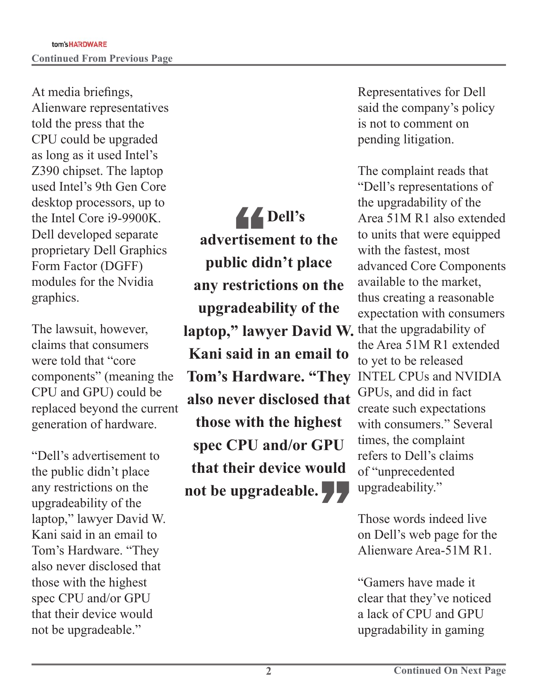At media briefings, Alienware representatives told the press that the CPU could be upgraded as long as it used Intel's Z390 chipset. The laptop used Intel's 9th Gen Core desktop processors, up to the Intel Core i9-9900K. Dell developed separate proprietary Dell Graphics Form Factor (DGFF) modules for the Nvidia graphics.

The lawsuit, however, claims that consumers were told that "core components" (meaning the CPU and GPU) could be replaced beyond the current generation of hardware.

"Dell's advertisement to the public didn't place any restrictions on the upgradeability of the laptop," lawyer David W. Kani said in an email to Tom's Hardware. "They also never disclosed that those with the highest spec CPU and/or GPU that their device would not be upgradeable."

**laptop," lawyer David W.** that the upgradability of **44**<br>rtiser<br>lic die **Dell's advertisement to the public didn't place any restrictions on the upgradeability of the Kani said in an email to Tom's Hardware. "They also never disclosed that those with the highest spec CPU and/or GPU that their device would not be upgradeable.**"

Representatives for Dell said the company's policy is not to comment on pending litigation.

The complaint reads that "Dell's representations of the upgradability of the Area 51M R1 also extended to units that were equipped with the fastest, most advanced Core Components available to the market, thus creating a reasonable expectation with consumers the Area 51M R1 extended to yet to be released INTEL CPUs and NVIDIA GPUs, and did in fact create such expectations with consumers." Several times, the complaint refers to Dell's claims of "unprecedented upgradeability."

Those words indeed live on Dell's web page for the Alienware Area-51M R1.

"Gamers have made it clear that they've noticed a lack of CPU and GPU upgradability in gaming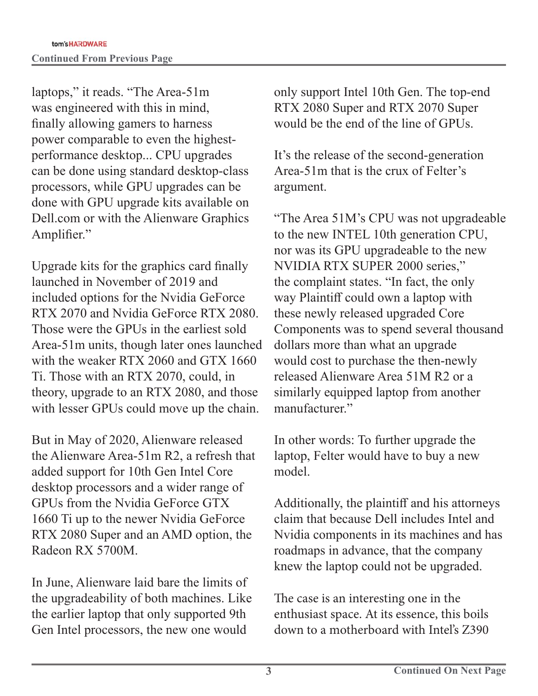laptops," it reads. "The Area-51m was engineered with this in mind, finally allowing gamers to harness power comparable to even the highestperformance desktop... CPU upgrades can be done using standard desktop-class processors, while GPU upgrades can be done with GPU upgrade kits available on Dell.com or with the Alienware Graphics Amplifier."

Upgrade kits for the graphics card finally launched in November of 2019 and included options for the Nvidia GeForce RTX 2070 and Nvidia GeForce RTX 2080. Those were the GPUs in the earliest sold Area-51m units, though later ones launched with the weaker RTX 2060 and GTX 1660 Ti. Those with an RTX 2070, could, in theory, upgrade to an RTX 2080, and those with lesser GPUs could move up the chain.

But in May of 2020, Alienware released the Alienware Area-51m R2, a refresh that added support for 10th Gen Intel Core desktop processors and a wider range of GPUs from the Nvidia GeForce GTX 1660 Ti up to the newer Nvidia GeForce RTX 2080 Super and an AMD option, the Radeon RX 5700M.

In June, Alienware laid bare the limits of the upgradeability of both machines. Like the earlier laptop that only supported 9th Gen Intel processors, the new one would

only support Intel 10th Gen. The top-end RTX 2080 Super and RTX 2070 Super would be the end of the line of GPUs.

It's the release of the second-generation Area-51m that is the crux of Felter's argument.

"The Area 51M's CPU was not upgradeable to the new INTEL 10th generation CPU, nor was its GPU upgradeable to the new NVIDIA RTX SUPER 2000 series," the complaint states. "In fact, the only way Plaintiff could own a laptop with these newly released upgraded Core Components was to spend several thousand dollars more than what an upgrade would cost to purchase the then-newly released Alienware Area 51M R2 or a similarly equipped laptop from another manufacturer."

In other words: To further upgrade the laptop, Felter would have to buy a new model.

Additionally, the plaintiff and his attorneys claim that because Dell includes Intel and Nvidia components in its machines and has roadmaps in advance, that the company knew the laptop could not be upgraded.

The case is an interesting one in the enthusiast space. At its essence, this boils down to a motherboard with Intel's Z390